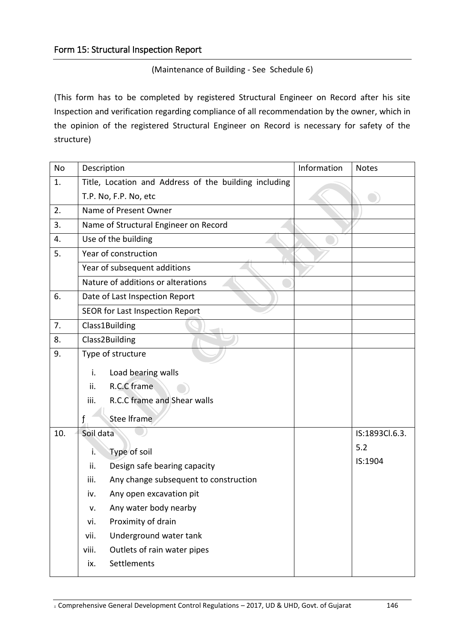## (Maintenance of Building - See Schedule 6)

(This form has to be completed by registered Structural Engineer on Record after his site Inspection and verification regarding compliance of all recommendation by the owner, which in the opinion of the registered Structural Engineer on Record is necessary for safety of the structure)

| <b>No</b> | Description                                           | Information | <b>Notes</b>   |
|-----------|-------------------------------------------------------|-------------|----------------|
| 1.        | Title, Location and Address of the building including |             |                |
|           | T.P. No, F.P. No, etc                                 |             |                |
| 2.        | Name of Present Owner                                 |             |                |
| 3.        | Name of Structural Engineer on Record                 |             |                |
| 4.        | Use of the building                                   |             |                |
| 5.        | Year of construction                                  |             |                |
|           | Year of subsequent additions                          |             |                |
|           | Nature of additions or alterations                    |             |                |
| 6.        | Date of Last Inspection Report                        |             |                |
|           | SEOR for Last Inspection Report                       |             |                |
| 7.        | Class1Building                                        |             |                |
| 8.        | Class2Building                                        |             |                |
| 9.        | Type of structure                                     |             |                |
|           | i.<br>Load bearing walls                              |             |                |
|           | R.C.C frame<br>ii.                                    |             |                |
|           | R.C.C frame and Shear walls<br>iii.                   |             |                |
|           | <b>Stee Iframe</b><br>$\mathbf{f}$                    |             |                |
| 10.       | Soil data                                             |             | IS:1893Cl.6.3. |
|           | Type of soil<br>i.                                    |             | 5.2            |
|           | ii.<br>Design safe bearing capacity                   |             | IS:1904        |
|           | iii.<br>Any change subsequent to construction         |             |                |
|           | Any open excavation pit<br>iv.                        |             |                |
|           | Any water body nearby<br>v.                           |             |                |
|           | Proximity of drain<br>vi.                             |             |                |
|           | Underground water tank<br>vii.                        |             |                |
|           | viii.<br>Outlets of rain water pipes                  |             |                |
|           | Settlements<br>ix.                                    |             |                |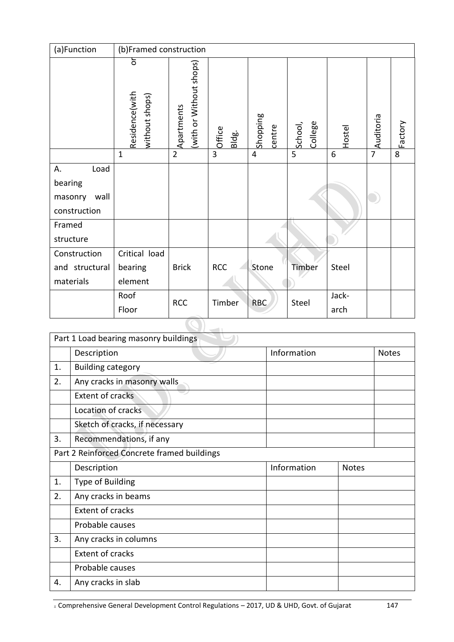| (a)Function     | (b)Framed construction                |                                       |                 |                    |                    |        |                |         |
|-----------------|---------------------------------------|---------------------------------------|-----------------|--------------------|--------------------|--------|----------------|---------|
|                 | δ<br>Residence(with<br>without shops) | (with or Without shops)<br>Apartments | Office<br>Bldg. | Shopping<br>centre | College<br>School, | Hostel | Auditoria      | Factory |
|                 | $\mathbf{1}$                          | $\overline{2}$                        | $\overline{3}$  | $\overline{4}$     | 5                  | 6      | $\overline{7}$ | 8       |
| А.<br>Load      |                                       |                                       |                 |                    |                    |        |                |         |
| bearing         |                                       |                                       |                 |                    |                    |        |                |         |
| wall<br>masonry |                                       |                                       |                 |                    |                    |        |                |         |
| construction    |                                       |                                       |                 |                    |                    |        |                |         |
| Framed          |                                       |                                       |                 |                    |                    |        |                |         |
| structure       |                                       |                                       |                 |                    |                    |        |                |         |
| Construction    | Critical load                         |                                       |                 |                    |                    |        |                |         |
| and structural  | bearing                               | <b>Brick</b>                          | <b>RCC</b>      | Stone              | Timber             | Steel  |                |         |
| materials       | element                               |                                       |                 |                    |                    |        |                |         |
|                 | Roof                                  | <b>RCC</b>                            | Timber          |                    | Steel              | Jack-  |                |         |
|                 | Floor                                 |                                       |                 | <b>RBC</b>         |                    | arch   |                |         |
|                 |                                       |                                       |                 |                    |                    |        |                |         |

|    | Part 1 Load bearing masonry buildings       |             |              |              |
|----|---------------------------------------------|-------------|--------------|--------------|
|    | Description                                 | Information |              | <b>Notes</b> |
| 1. | <b>Building category</b>                    |             |              |              |
| 2. | Any cracks in masonry walls                 |             |              |              |
|    | <b>Extent of cracks</b>                     |             |              |              |
|    | Location of cracks                          |             |              |              |
|    | Sketch of cracks, if necessary              |             |              |              |
| 3. | Recommendations, if any                     |             |              |              |
|    | Part 2 Reinforced Concrete framed buildings |             |              |              |
|    | Description                                 | Information | <b>Notes</b> |              |
| 1. | Type of Building                            |             |              |              |
| 2. | Any cracks in beams                         |             |              |              |
|    | <b>Extent of cracks</b>                     |             |              |              |
|    | Probable causes                             |             |              |              |
| 3. | Any cracks in columns                       |             |              |              |
|    | <b>Extent of cracks</b>                     |             |              |              |
|    | Probable causes                             |             |              |              |
| 4. | Any cracks in slab                          |             |              |              |

E Comprehensive General Development Control Regulations – 2017, UD & UHD, Govt. of Gujarat 147